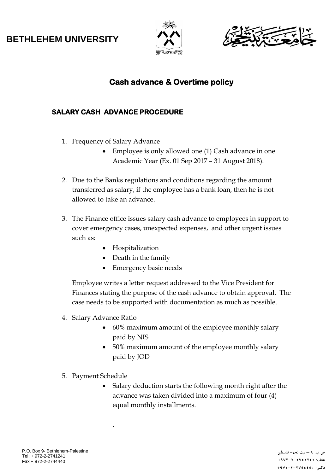



## **Cash advance & Overtime policy**

### **SALARY CASH ADVANCE PROCEDURE**

- 1. Frequency of Salary Advance
	- Employee is only allowed one (1) Cash advance in one Academic Year (Ex. 01 Sep 2017 – 31 August 2018).
- 2. Due to the Banks regulations and conditions regarding the amount transferred as salary, if the employee has a bank loan, then he is not allowed to take an advance.
- 3. The Finance office issues salary cash advance to employees in support to cover emergency cases, unexpected expenses, and other urgent issues such as:
	- Hospitalization
	- Death in the family
	- Emergency basic needs

Employee writes a letter request addressed to the Vice President for Finances stating the purpose of the cash advance to obtain approval. The case needs to be supported with documentation as much as possible.

- 4. Salary Advance Ratio
	- 60% maximum amount of the employee monthly salary paid by NIS
	- 50% maximum amount of the employee monthly salary paid by JOD
- 5. Payment Schedule

.

• Salary deduction starts the following month right after the advance was taken divided into a maximum of four (4) equal monthly installments.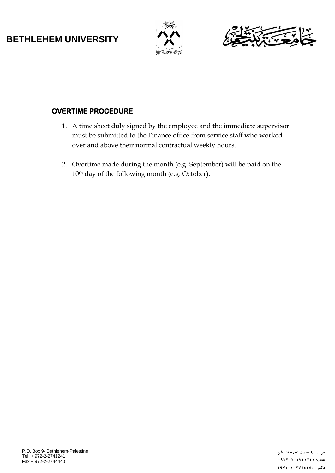



### **OVERTIME PROCEDURE**

- 1. A time sheet duly signed by the employee and the immediate supervisor must be submitted to the Finance office from service staff who worked over and above their normal contractual weekly hours.
- 2. Overtime made during the month (e.g. September) will be paid on the 10<sup>th</sup> day of the following month (e.g. October).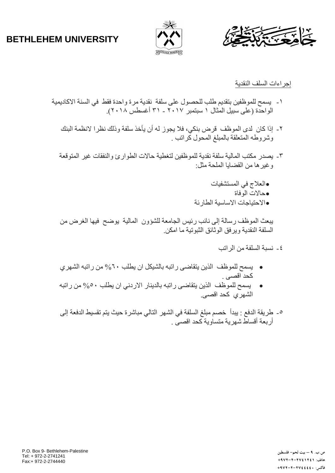# **BETHLEHEM UNIVERSITY**





#### إجراءات السلف النقدية

- -1 يسمح للموظفین بتقديم طلب للحصول على سلفة نقدية مرة واحدة فقط في السنة االكاديمیة الواحدة (علی سبیل المثال ١ سبتمبر ٢٠١٧ - ٣١ أغسطس ٢٠١٨).
	- -7 إذا كان لدى الموظف قرض بنكي، فال يجوز له أن يأخذ سلفة وذلك نظرا النظمة البنك وشروطه المتعلقة بالمبلغ المحول كراتب .
	- -1 يصدر مكتب المالیة سلفة نقدية للموظفین لتغطیة حاالت الطوارئ والنفقات غیر المتوقعة وغیرها من القضايا الملحة مثل:
		- العالج في المستشفیات
			- حاالت الوفاة
		- االحتیاجات االساسیة الطارئة

يبعث الموظف رسالة إلی نائب رئیس الجامعة للشؤون المالیة يوضح فیها الغرض من السلفة النقدية ويرفق الوثائق الثبوتیة ما امكن.

- -4 نسبة السلفة من الراتب
- يسمح للموظف الذين يتقاضى راتبه بالشیكل ان يطلب %01 من راتبه الشهري كحد اقصى .
- يسمح للموظف الذين يتقاضى راتبه بالدينار االردني ان يطلب %51 من راتبه الشهري كحد اقصى.
- -5 طريقة الدفع : يبدأ خصم مبلغ السلفة في الشهر التالي مباشرة حیث يتم تقسیط الدفعة إلى أربعة أقساط شهرية متساوية كحد اقصى .